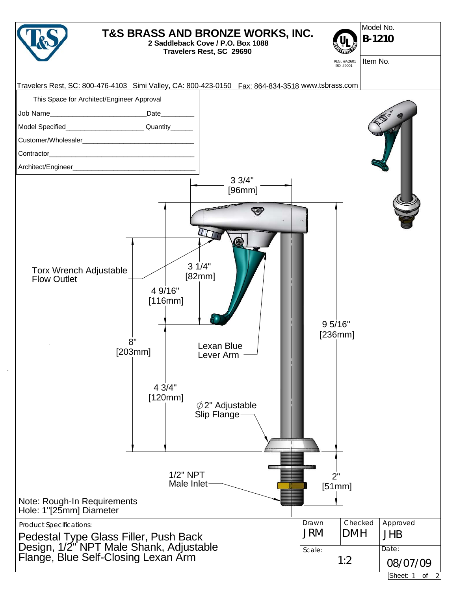